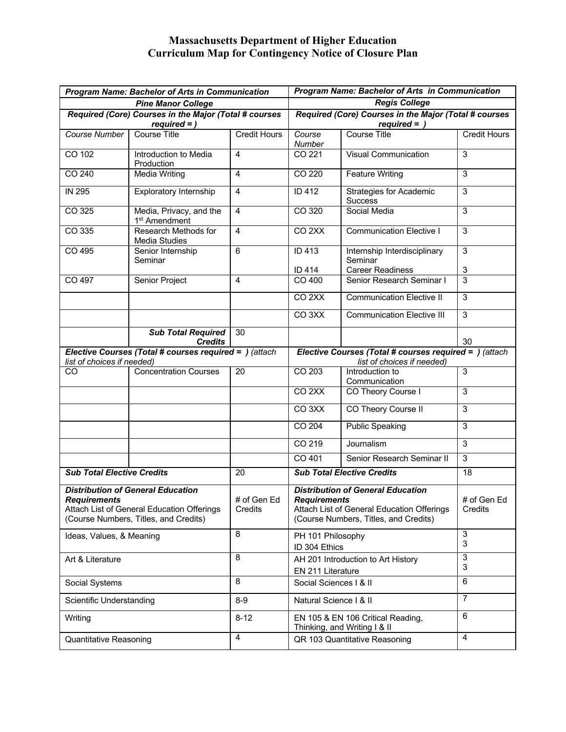## **Massachusetts Department of Higher Education Curriculum Map for Contingency Notice of Closure Plan**

| <b>Program Name: Bachelor of Arts in Communication</b>                                                                                                 |                                                      |                        | <b>Program Name: Bachelor of Arts in Communication</b>                                                                                                 |                                                  |                        |
|--------------------------------------------------------------------------------------------------------------------------------------------------------|------------------------------------------------------|------------------------|--------------------------------------------------------------------------------------------------------------------------------------------------------|--------------------------------------------------|------------------------|
| <b>Pine Manor College</b>                                                                                                                              |                                                      |                        | <b>Regis College</b>                                                                                                                                   |                                                  |                        |
| Required (Core) Courses in the Major (Total # courses<br>$required =$ )                                                                                |                                                      |                        | Required (Core) Courses in the Major (Total # courses<br>$required =$ )                                                                                |                                                  |                        |
| <b>Course Number</b>                                                                                                                                   | <b>Course Title</b>                                  | <b>Credit Hours</b>    | Course<br>Number                                                                                                                                       | <b>Course Title</b>                              | <b>Credit Hours</b>    |
| CO 102                                                                                                                                                 | Introduction to Media<br>Production                  | $\overline{4}$         | CO 221                                                                                                                                                 | <b>Visual Communication</b>                      | 3                      |
| CO 240                                                                                                                                                 | Media Writing                                        | $\overline{4}$         | CO 220                                                                                                                                                 | <b>Feature Writing</b>                           | 3                      |
| <b>IN 295</b>                                                                                                                                          | <b>Exploratory Internship</b>                        | 4                      | ID 412                                                                                                                                                 | <b>Strategies for Academic</b><br><b>Success</b> | 3                      |
| CO 325                                                                                                                                                 | Media, Privacy, and the<br>1 <sup>st</sup> Amendment | 4                      | CO 320                                                                                                                                                 | Social Media                                     | 3                      |
| CO 335                                                                                                                                                 | Research Methods for<br>Media Studies                | $\overline{4}$         | CO <sub>2</sub> XX                                                                                                                                     | <b>Communication Elective I</b>                  | 3                      |
| CO 495                                                                                                                                                 | Senior Internship<br>Seminar                         | 6                      | ID 413                                                                                                                                                 | Internship Interdisciplinary<br>Seminar          | $\sqrt{3}$             |
|                                                                                                                                                        |                                                      |                        | ID 414                                                                                                                                                 | <b>Career Readiness</b>                          | $\sqrt{3}$             |
| CO 497                                                                                                                                                 | Senior Project                                       | 4                      | CO 400                                                                                                                                                 | Senior Research Seminar I                        | 3                      |
|                                                                                                                                                        |                                                      |                        | CO <sub>2</sub> XX                                                                                                                                     | <b>Communication Elective II</b>                 | 3                      |
|                                                                                                                                                        |                                                      |                        | CO <sub>3</sub> XX                                                                                                                                     | <b>Communication Elective III</b>                | 3                      |
|                                                                                                                                                        | <b>Sub Total Required</b><br><b>Credits</b>          | 30                     |                                                                                                                                                        |                                                  | 30                     |
| Elective Courses (Total # courses required = ) (attach<br>list of choices if needed)                                                                   |                                                      |                        | Elective Courses (Total # courses required = ) (attach<br>list of choices if needed)                                                                   |                                                  |                        |
| CO                                                                                                                                                     | <b>Concentration Courses</b>                         | 20                     | CO 203                                                                                                                                                 | Introduction to<br>Communication                 | 3                      |
|                                                                                                                                                        |                                                      |                        | CO <sub>2XX</sub>                                                                                                                                      | CO Theory Course I                               | 3                      |
|                                                                                                                                                        |                                                      |                        | CO <sub>3</sub> XX                                                                                                                                     | CO Theory Course II                              | 3                      |
|                                                                                                                                                        |                                                      |                        | CO 204                                                                                                                                                 | <b>Public Speaking</b>                           | 3                      |
|                                                                                                                                                        |                                                      |                        | CO 219                                                                                                                                                 | Journalism                                       | 3                      |
|                                                                                                                                                        |                                                      |                        | CO 401                                                                                                                                                 | Senior Research Seminar II                       | 3                      |
| <b>Sub Total Elective Credits</b>                                                                                                                      |                                                      | 20                     |                                                                                                                                                        | <b>Sub Total Elective Credits</b>                | 18                     |
| <b>Distribution of General Education</b><br><b>Requirements</b><br>Attach List of General Education Offerings<br>(Course Numbers, Titles, and Credits) |                                                      | # of Gen Ed<br>Credits | <b>Distribution of General Education</b><br><b>Requirements</b><br>Attach List of General Education Offerings<br>(Course Numbers, Titles, and Credits) |                                                  | # of Gen Ed<br>Credits |
| Ideas, Values, & Meaning                                                                                                                               |                                                      | 8                      | PH 101 Philosophy<br>ID 304 Ethics                                                                                                                     |                                                  | $\sqrt{3}$<br>3        |
| Art & Literature                                                                                                                                       |                                                      | 8                      | AH 201 Introduction to Art History<br>EN 211 Literature                                                                                                |                                                  | $\sqrt{3}$<br>3        |
| Social Systems                                                                                                                                         |                                                      | 8                      | Social Sciences   & II                                                                                                                                 |                                                  | 6                      |
| Scientific Understanding                                                                                                                               |                                                      | $8-9$                  | Natural Science   & II                                                                                                                                 |                                                  | $\overline{7}$         |
| Writing                                                                                                                                                |                                                      | $8 - 12$               | EN 105 & EN 106 Critical Reading,<br>Thinking, and Writing I & II                                                                                      |                                                  | 6                      |
| <b>Quantitative Reasoning</b>                                                                                                                          |                                                      | 4                      | QR 103 Quantitative Reasoning                                                                                                                          |                                                  | 4                      |